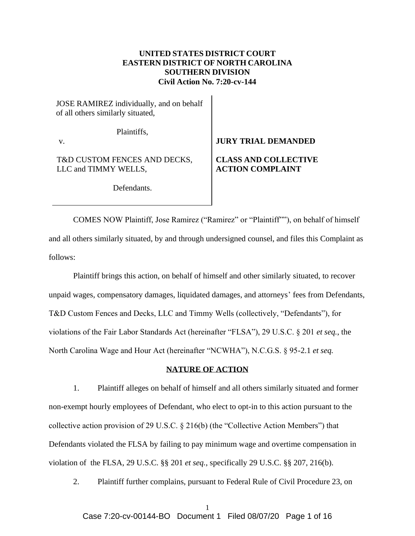## **UNITED STATES DISTRICT COURT EASTERN DISTRICT OF NORTH CAROLINA SOUTHERN DIVISION Civil Action No. 7:20-cv-144**

JOSE RAMIREZ individually, and on behalf of all others similarly situated,

Plaintiffs,

v.

T&D CUSTOM FENCES AND DECKS, LLC and TIMMY WELLS,

Defendants.

## **JURY TRIAL DEMANDED CLASS AND COLLECTIVE ACTION COMPLAINT**

COMES NOW Plaintiff, Jose Ramirez ("Ramirez" or "Plaintiff""), on behalf of himself and all others similarly situated, by and through undersigned counsel, and files this Complaint as follows:

Plaintiff brings this action, on behalf of himself and other similarly situated, to recover unpaid wages, compensatory damages, liquidated damages, and attorneys' fees from Defendants, T&D Custom Fences and Decks, LLC and Timmy Wells (collectively, "Defendants"), for violations of the Fair Labor Standards Act (hereinafter "FLSA"), 29 U.S.C. § 201 *et seq.*, the North Carolina Wage and Hour Act (hereinafter "NCWHA"), N.C.G.S. § 95-2.1 *et seq.*

#### **NATURE OF ACTION**

1. Plaintiff alleges on behalf of himself and all others similarly situated and former non-exempt hourly employees of Defendant, who elect to opt-in to this action pursuant to the collective action provision of 29 U.S.C. § 216(b) (the "Collective Action Members") that Defendants violated the FLSA by failing to pay minimum wage and overtime compensation in violation of the FLSA, 29 U.S.C. §§ 201 *et seq.*, specifically 29 U.S.C. §§ 207, 216(b).

2. Plaintiff further complains, pursuant to Federal Rule of Civil Procedure 23, on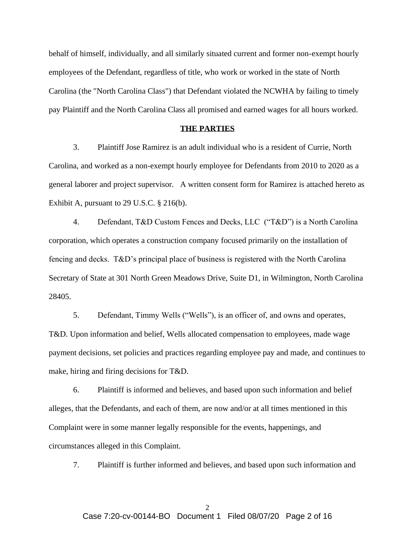behalf of himself, individually, and all similarly situated current and former non-exempt hourly employees of the Defendant, regardless of title, who work or worked in the state of North Carolina (the "North Carolina Class") that Defendant violated the NCWHA by failing to timely pay Plaintiff and the North Carolina Class all promised and earned wages for all hours worked.

#### **THE PARTIES**

3. Plaintiff Jose Ramirez is an adult individual who is a resident of Currie, North Carolina, and worked as a non-exempt hourly employee for Defendants from 2010 to 2020 as a general laborer and project supervisor. A written consent form for Ramirez is attached hereto as Exhibit A, pursuant to 29 U.S.C. § 216(b).

4. Defendant, T&D Custom Fences and Decks, LLC ("T&D") is a North Carolina corporation, which operates a construction company focused primarily on the installation of fencing and decks. T&D's principal place of business is registered with the North Carolina Secretary of State at 301 North Green Meadows Drive, Suite D1, in Wilmington, North Carolina 28405.

5. Defendant, Timmy Wells ("Wells"), is an officer of, and owns and operates, T&D. Upon information and belief, Wells allocated compensation to employees, made wage payment decisions, set policies and practices regarding employee pay and made, and continues to make, hiring and firing decisions for T&D.

6. Plaintiff is informed and believes, and based upon such information and belief alleges, that the Defendants, and each of them, are now and/or at all times mentioned in this Complaint were in some manner legally responsible for the events, happenings, and circumstances alleged in this Complaint.

7. Plaintiff is further informed and believes, and based upon such information and

2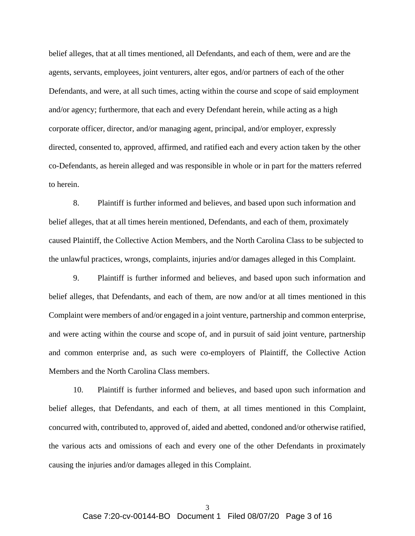belief alleges, that at all times mentioned, all Defendants, and each of them, were and are the agents, servants, employees, joint venturers, alter egos, and/or partners of each of the other Defendants, and were, at all such times, acting within the course and scope of said employment and/or agency; furthermore, that each and every Defendant herein, while acting as a high corporate officer, director, and/or managing agent, principal, and/or employer, expressly directed, consented to, approved, affirmed, and ratified each and every action taken by the other co-Defendants, as herein alleged and was responsible in whole or in part for the matters referred to herein.

8. Plaintiff is further informed and believes, and based upon such information and belief alleges, that at all times herein mentioned, Defendants, and each of them, proximately caused Plaintiff, the Collective Action Members, and the North Carolina Class to be subjected to the unlawful practices, wrongs, complaints, injuries and/or damages alleged in this Complaint.

9. Plaintiff is further informed and believes, and based upon such information and belief alleges, that Defendants, and each of them, are now and/or at all times mentioned in this Complaint were members of and/or engaged in a joint venture, partnership and common enterprise, and were acting within the course and scope of, and in pursuit of said joint venture, partnership and common enterprise and, as such were co-employers of Plaintiff, the Collective Action Members and the North Carolina Class members.

10. Plaintiff is further informed and believes, and based upon such information and belief alleges, that Defendants, and each of them, at all times mentioned in this Complaint, concurred with, contributed to, approved of, aided and abetted, condoned and/or otherwise ratified, the various acts and omissions of each and every one of the other Defendants in proximately causing the injuries and/or damages alleged in this Complaint.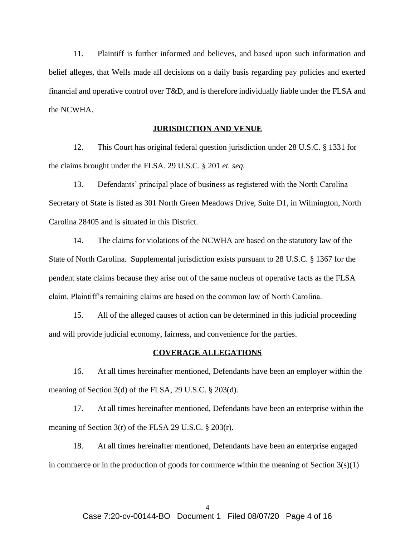11. Plaintiff is further informed and believes, and based upon such information and belief alleges, that Wells made all decisions on a daily basis regarding pay policies and exerted financial and operative control over T&D, and is therefore individually liable under the FLSA and the NCWHA.

#### **JURISDICTION AND VENUE**

12. This Court has original federal question jurisdiction under 28 U.S.C. § 1331 for the claims brought under the FLSA. 29 U.S.C. § 201 *et. seq.*

13. Defendants' principal place of business as registered with the North Carolina Secretary of State is listed as 301 North Green Meadows Drive, Suite D1, in Wilmington, North Carolina 28405 and is situated in this District.

14. The claims for violations of the NCWHA are based on the statutory law of the State of North Carolina. Supplemental jurisdiction exists pursuant to 28 U.S.C. § 1367 for the pendent state claims because they arise out of the same nucleus of operative facts as the FLSA claim. Plaintiff's remaining claims are based on the common law of North Carolina.

15. All of the alleged causes of action can be determined in this judicial proceeding and will provide judicial economy, fairness, and convenience for the parties.

#### **COVERAGE ALLEGATIONS**

16. At all times hereinafter mentioned, Defendants have been an employer within the meaning of Section 3(d) of the FLSA, 29 U.S.C. § 203(d).

17. At all times hereinafter mentioned, Defendants have been an enterprise within the meaning of Section 3(r) of the FLSA 29 U.S.C. § 203(r).

18. At all times hereinafter mentioned, Defendants have been an enterprise engaged in commerce or in the production of goods for commerce within the meaning of Section  $3(s)(1)$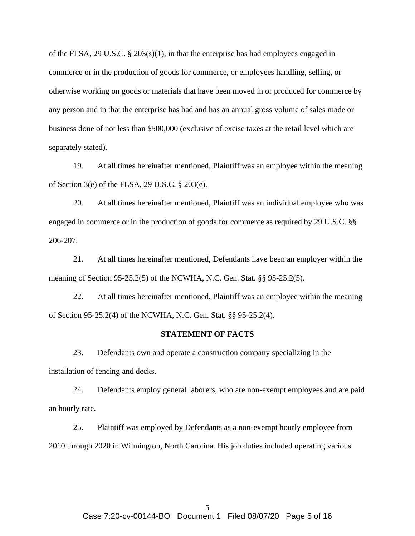of the FLSA, 29 U.S.C. § 203(s)(1), in that the enterprise has had employees engaged in commerce or in the production of goods for commerce, or employees handling, selling, or otherwise working on goods or materials that have been moved in or produced for commerce by any person and in that the enterprise has had and has an annual gross volume of sales made or business done of not less than \$500,000 (exclusive of excise taxes at the retail level which are separately stated).

19. At all times hereinafter mentioned, Plaintiff was an employee within the meaning of Section 3(e) of the FLSA, 29 U.S.C. § 203(e).

20. At all times hereinafter mentioned, Plaintiff was an individual employee who was engaged in commerce or in the production of goods for commerce as required by 29 U.S.C. §§ 206-207.

21. At all times hereinafter mentioned, Defendants have been an employer within the meaning of Section 95-25.2(5) of the NCWHA, N.C. Gen. Stat. §§ 95-25.2(5).

22. At all times hereinafter mentioned, Plaintiff was an employee within the meaning of Section 95-25.2(4) of the NCWHA, N.C. Gen. Stat. §§ 95-25.2(4).

#### **STATEMENT OF FACTS**

23. Defendants own and operate a construction company specializing in the installation of fencing and decks.

24. Defendants employ general laborers, who are non-exempt employees and are paid an hourly rate.

25. Plaintiff was employed by Defendants as a non-exempt hourly employee from 2010 through 2020 in Wilmington, North Carolina. His job duties included operating various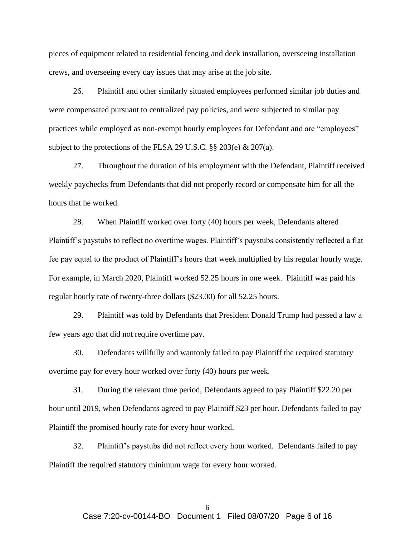pieces of equipment related to residential fencing and deck installation, overseeing installation crews, and overseeing every day issues that may arise at the job site.

26. Plaintiff and other similarly situated employees performed similar job duties and were compensated pursuant to centralized pay policies, and were subjected to similar pay practices while employed as non-exempt hourly employees for Defendant and are "employees" subject to the protections of the FLSA 29 U.S.C. §§ 203(e) & 207(a).

27. Throughout the duration of his employment with the Defendant, Plaintiff received weekly paychecks from Defendants that did not properly record or compensate him for all the hours that he worked.

28. When Plaintiff worked over forty (40) hours per week, Defendants altered Plaintiff's paystubs to reflect no overtime wages. Plaintiff's paystubs consistently reflected a flat fee pay equal to the product of Plaintiff's hours that week multiplied by his regular hourly wage. For example, in March 2020, Plaintiff worked 52.25 hours in one week. Plaintiff was paid his regular hourly rate of twenty-three dollars (\$23.00) for all 52.25 hours.

29. Plaintiff was told by Defendants that President Donald Trump had passed a law a few years ago that did not require overtime pay.

30. Defendants willfully and wantonly failed to pay Plaintiff the required statutory overtime pay for every hour worked over forty (40) hours per week.

31. During the relevant time period, Defendants agreed to pay Plaintiff \$22.20 per hour until 2019, when Defendants agreed to pay Plaintiff \$23 per hour. Defendants failed to pay Plaintiff the promised hourly rate for every hour worked.

32. Plaintiff's paystubs did not reflect every hour worked. Defendants failed to pay Plaintiff the required statutory minimum wage for every hour worked.

6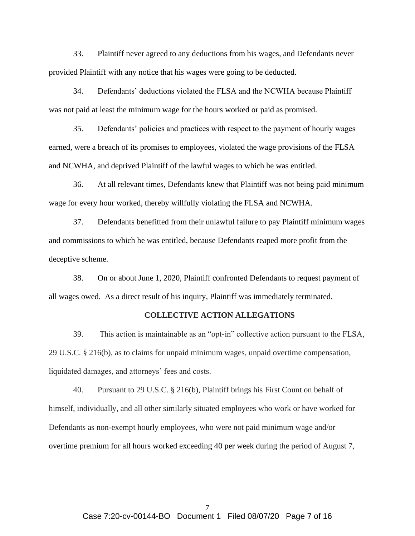33. Plaintiff never agreed to any deductions from his wages, and Defendants never provided Plaintiff with any notice that his wages were going to be deducted.

34. Defendants' deductions violated the FLSA and the NCWHA because Plaintiff was not paid at least the minimum wage for the hours worked or paid as promised.

35. Defendants' policies and practices with respect to the payment of hourly wages earned, were a breach of its promises to employees, violated the wage provisions of the FLSA and NCWHA, and deprived Plaintiff of the lawful wages to which he was entitled.

36. At all relevant times, Defendants knew that Plaintiff was not being paid minimum wage for every hour worked, thereby willfully violating the FLSA and NCWHA.

37. Defendants benefitted from their unlawful failure to pay Plaintiff minimum wages and commissions to which he was entitled, because Defendants reaped more profit from the deceptive scheme.

38. On or about June 1, 2020, Plaintiff confronted Defendants to request payment of all wages owed. As a direct result of his inquiry, Plaintiff was immediately terminated.

#### **COLLECTIVE ACTION ALLEGATIONS**

39. This action is maintainable as an "opt-in" collective action pursuant to the FLSA, 29 U.S.C. § 216(b), as to claims for unpaid minimum wages, unpaid overtime compensation, liquidated damages, and attorneys' fees and costs.

40. Pursuant to 29 U.S.C. § 216(b), Plaintiff brings his First Count on behalf of himself, individually, and all other similarly situated employees who work or have worked for Defendants as non-exempt hourly employees, who were not paid minimum wage and/or overtime premium for all hours worked exceeding 40 per week during the period of August 7,

7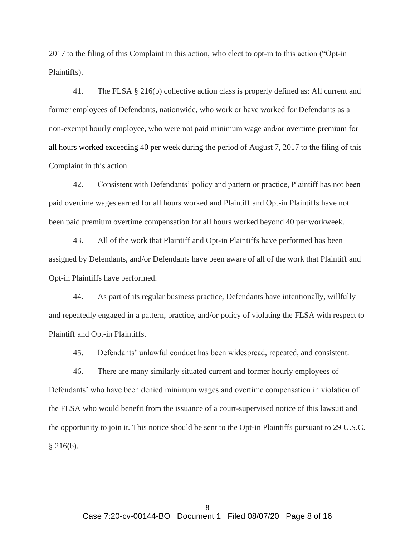2017 to the filing of this Complaint in this action, who elect to opt-in to this action ("Opt-in Plaintiffs).

41. The FLSA § 216(b) collective action class is properly defined as: All current and former employees of Defendants, nationwide, who work or have worked for Defendants as a non-exempt hourly employee, who were not paid minimum wage and/or overtime premium for all hours worked exceeding 40 per week during the period of August 7, 2017 to the filing of this Complaint in this action.

42. Consistent with Defendants' policy and pattern or practice, Plaintiff has not been paid overtime wages earned for all hours worked and Plaintiff and Opt-in Plaintiffs have not been paid premium overtime compensation for all hours worked beyond 40 per workweek.

43. All of the work that Plaintiff and Opt-in Plaintiffs have performed has been assigned by Defendants, and/or Defendants have been aware of all of the work that Plaintiff and Opt-in Plaintiffs have performed.

44. As part of its regular business practice, Defendants have intentionally, willfully and repeatedly engaged in a pattern, practice, and/or policy of violating the FLSA with respect to Plaintiff and Opt-in Plaintiffs.

45. Defendants' unlawful conduct has been widespread, repeated, and consistent.

46. There are many similarly situated current and former hourly employees of Defendants' who have been denied minimum wages and overtime compensation in violation of the FLSA who would benefit from the issuance of a court-supervised notice of this lawsuit and the opportunity to join it. This notice should be sent to the Opt-in Plaintiffs pursuant to 29 U.S.C.  $§$  216(b).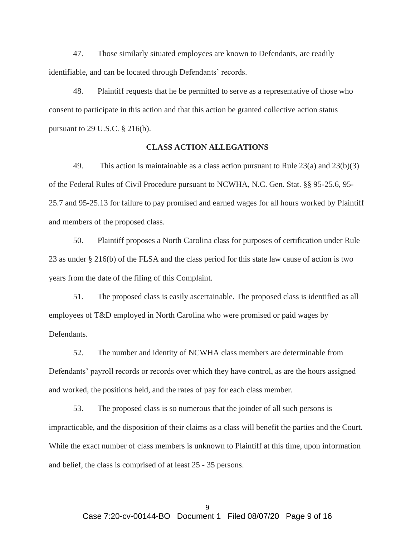47. Those similarly situated employees are known to Defendants, are readily identifiable, and can be located through Defendants' records.

48. Plaintiff requests that he be permitted to serve as a representative of those who consent to participate in this action and that this action be granted collective action status pursuant to 29 U.S.C. § 216(b).

### **CLASS ACTION ALLEGATIONS**

49. This action is maintainable as a class action pursuant to Rule 23(a) and 23(b)(3) of the Federal Rules of Civil Procedure pursuant to NCWHA, N.C. Gen. Stat. §§ 95-25.6, 95- 25.7 and 95-25.13 for failure to pay promised and earned wages for all hours worked by Plaintiff and members of the proposed class.

50. Plaintiff proposes a North Carolina class for purposes of certification under Rule 23 as under § 216(b) of the FLSA and the class period for this state law cause of action is two years from the date of the filing of this Complaint.

51. The proposed class is easily ascertainable. The proposed class is identified as all employees of T&D employed in North Carolina who were promised or paid wages by Defendants.

52. The number and identity of NCWHA class members are determinable from Defendants' payroll records or records over which they have control, as are the hours assigned and worked, the positions held, and the rates of pay for each class member.

53. The proposed class is so numerous that the joinder of all such persons is impracticable, and the disposition of their claims as a class will benefit the parties and the Court. While the exact number of class members is unknown to Plaintiff at this time, upon information and belief, the class is comprised of at least 25 - 35 persons.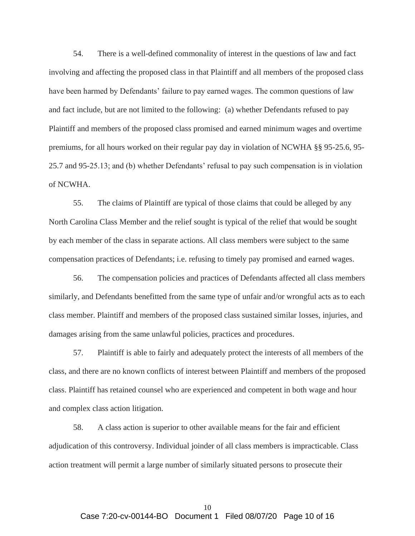54. There is a well-defined commonality of interest in the questions of law and fact involving and affecting the proposed class in that Plaintiff and all members of the proposed class have been harmed by Defendants' failure to pay earned wages. The common questions of law and fact include, but are not limited to the following: (a) whether Defendants refused to pay Plaintiff and members of the proposed class promised and earned minimum wages and overtime premiums, for all hours worked on their regular pay day in violation of NCWHA §§ 95-25.6, 95- 25.7 and 95-25.13; and (b) whether Defendants' refusal to pay such compensation is in violation of NCWHA.

55. The claims of Plaintiff are typical of those claims that could be alleged by any North Carolina Class Member and the relief sought is typical of the relief that would be sought by each member of the class in separate actions. All class members were subject to the same compensation practices of Defendants; i.e. refusing to timely pay promised and earned wages.

56. The compensation policies and practices of Defendants affected all class members similarly, and Defendants benefitted from the same type of unfair and/or wrongful acts as to each class member. Plaintiff and members of the proposed class sustained similar losses, injuries, and damages arising from the same unlawful policies, practices and procedures.

57. Plaintiff is able to fairly and adequately protect the interests of all members of the class, and there are no known conflicts of interest between Plaintiff and members of the proposed class. Plaintiff has retained counsel who are experienced and competent in both wage and hour and complex class action litigation.

58. A class action is superior to other available means for the fair and efficient adjudication of this controversy. Individual joinder of all class members is impracticable. Class action treatment will permit a large number of similarly situated persons to prosecute their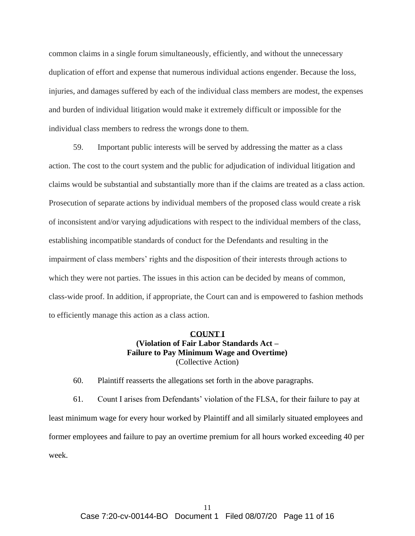common claims in a single forum simultaneously, efficiently, and without the unnecessary duplication of effort and expense that numerous individual actions engender. Because the loss, injuries, and damages suffered by each of the individual class members are modest, the expenses and burden of individual litigation would make it extremely difficult or impossible for the individual class members to redress the wrongs done to them.

59. Important public interests will be served by addressing the matter as a class action. The cost to the court system and the public for adjudication of individual litigation and claims would be substantial and substantially more than if the claims are treated as a class action. Prosecution of separate actions by individual members of the proposed class would create a risk of inconsistent and/or varying adjudications with respect to the individual members of the class, establishing incompatible standards of conduct for the Defendants and resulting in the impairment of class members' rights and the disposition of their interests through actions to which they were not parties. The issues in this action can be decided by means of common, class-wide proof. In addition, if appropriate, the Court can and is empowered to fashion methods to efficiently manage this action as a class action.

## **COUNT I (Violation of Fair Labor Standards Act – Failure to Pay Minimum Wage and Overtime)** (Collective Action)

60. Plaintiff reasserts the allegations set forth in the above paragraphs.

61. Count I arises from Defendants' violation of the FLSA, for their failure to pay at least minimum wage for every hour worked by Plaintiff and all similarly situated employees and former employees and failure to pay an overtime premium for all hours worked exceeding 40 per week.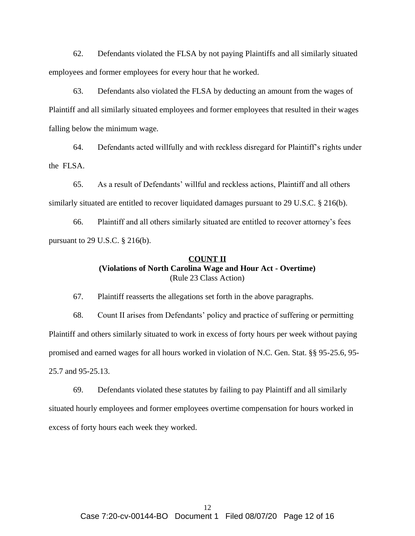62. Defendants violated the FLSA by not paying Plaintiffs and all similarly situated employees and former employees for every hour that he worked.

63. Defendants also violated the FLSA by deducting an amount from the wages of Plaintiff and all similarly situated employees and former employees that resulted in their wages falling below the minimum wage.

64. Defendants acted willfully and with reckless disregard for Plaintiff's rights under the FLSA.

65. As a result of Defendants' willful and reckless actions, Plaintiff and all others similarly situated are entitled to recover liquidated damages pursuant to 29 U.S.C. § 216(b).

66. Plaintiff and all others similarly situated are entitled to recover attorney's fees pursuant to 29 U.S.C. § 216(b).

## **COUNT II (Violations of North Carolina Wage and Hour Act - Overtime)** (Rule 23 Class Action)

67. Plaintiff reasserts the allegations set forth in the above paragraphs.

68. Count II arises from Defendants' policy and practice of suffering or permitting Plaintiff and others similarly situated to work in excess of forty hours per week without paying promised and earned wages for all hours worked in violation of N.C. Gen. Stat. §§ 95-25.6, 95- 25.7 and 95-25.13.

69. Defendants violated these statutes by failing to pay Plaintiff and all similarly situated hourly employees and former employees overtime compensation for hours worked in excess of forty hours each week they worked.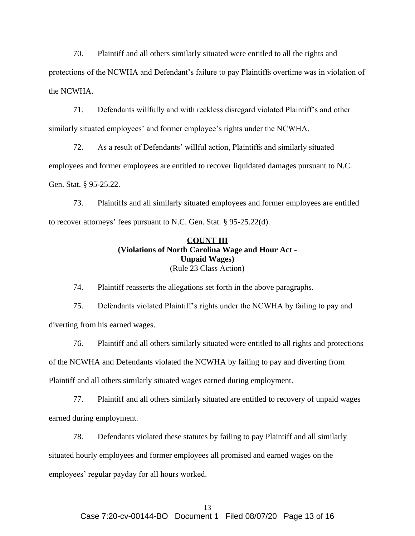70. Plaintiff and all others similarly situated were entitled to all the rights and protections of the NCWHA and Defendant's failure to pay Plaintiffs overtime was in violation of the NCWHA.

71. Defendants willfully and with reckless disregard violated Plaintiff's and other similarly situated employees' and former employee's rights under the NCWHA.

72. As a result of Defendants' willful action, Plaintiffs and similarly situated employees and former employees are entitled to recover liquidated damages pursuant to N.C. Gen. Stat. § 95-25.22.

73. Plaintiffs and all similarly situated employees and former employees are entitled to recover attorneys' fees pursuant to N.C. Gen. Stat. § 95-25.22(d).

## **COUNT III (Violations of North Carolina Wage and Hour Act - Unpaid Wages)** (Rule 23 Class Action)

74. Plaintiff reasserts the allegations set forth in the above paragraphs.

75. Defendants violated Plaintiff's rights under the NCWHA by failing to pay and diverting from his earned wages.

76. Plaintiff and all others similarly situated were entitled to all rights and protections of the NCWHA and Defendants violated the NCWHA by failing to pay and diverting from Plaintiff and all others similarly situated wages earned during employment.

77. Plaintiff and all others similarly situated are entitled to recovery of unpaid wages earned during employment.

78. Defendants violated these statutes by failing to pay Plaintiff and all similarly situated hourly employees and former employees all promised and earned wages on the employees' regular payday for all hours worked.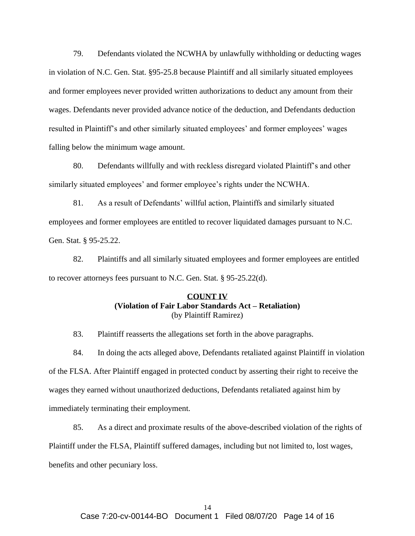79. Defendants violated the NCWHA by unlawfully withholding or deducting wages in violation of N.C. Gen. Stat. §95-25.8 because Plaintiff and all similarly situated employees and former employees never provided written authorizations to deduct any amount from their wages. Defendants never provided advance notice of the deduction, and Defendants deduction resulted in Plaintiff's and other similarly situated employees' and former employees' wages falling below the minimum wage amount.

80. Defendants willfully and with reckless disregard violated Plaintiff's and other similarly situated employees' and former employee's rights under the NCWHA.

81. As a result of Defendants' willful action, Plaintiffs and similarly situated employees and former employees are entitled to recover liquidated damages pursuant to N.C. Gen. Stat. § 95-25.22.

82. Plaintiffs and all similarly situated employees and former employees are entitled to recover attorneys fees pursuant to N.C. Gen. Stat. § 95-25.22(d).

## **COUNT IV (Violation of Fair Labor Standards Act – Retaliation)** (by Plaintiff Ramirez)

83. Plaintiff reasserts the allegations set forth in the above paragraphs.

84. In doing the acts alleged above, Defendants retaliated against Plaintiff in violation of the FLSA. After Plaintiff engaged in protected conduct by asserting their right to receive the wages they earned without unauthorized deductions, Defendants retaliated against him by immediately terminating their employment.

85. As a direct and proximate results of the above-described violation of the rights of Plaintiff under the FLSA, Plaintiff suffered damages, including but not limited to, lost wages, benefits and other pecuniary loss.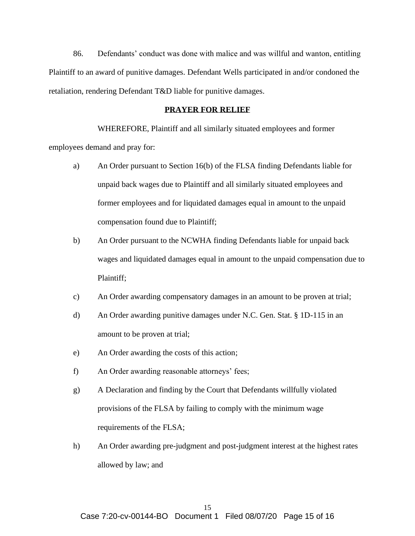86. Defendants' conduct was done with malice and was willful and wanton, entitling Plaintiff to an award of punitive damages. Defendant Wells participated in and/or condoned the retaliation, rendering Defendant T&D liable for punitive damages.

#### **PRAYER FOR RELIEF**

WHEREFORE, Plaintiff and all similarly situated employees and former employees demand and pray for:

- a) An Order pursuant to Section 16(b) of the FLSA finding Defendants liable for unpaid back wages due to Plaintiff and all similarly situated employees and former employees and for liquidated damages equal in amount to the unpaid compensation found due to Plaintiff;
- b) An Order pursuant to the NCWHA finding Defendants liable for unpaid back wages and liquidated damages equal in amount to the unpaid compensation due to Plaintiff;
- c) An Order awarding compensatory damages in an amount to be proven at trial;
- d) An Order awarding punitive damages under N.C. Gen. Stat. § 1D-115 in an amount to be proven at trial;
- e) An Order awarding the costs of this action;
- f) An Order awarding reasonable attorneys' fees;
- g) A Declaration and finding by the Court that Defendants willfully violated provisions of the FLSA by failing to comply with the minimum wage requirements of the FLSA;
- h) An Order awarding pre-judgment and post-judgment interest at the highest rates allowed by law; and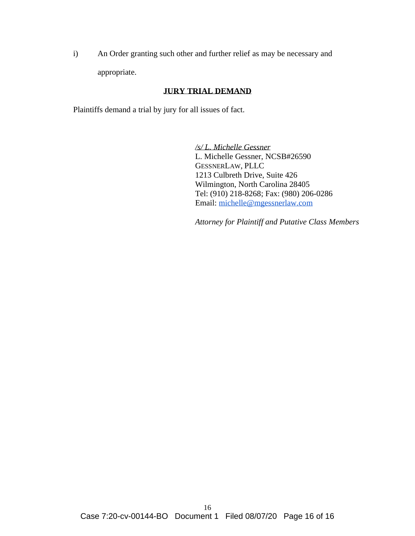i) An Order granting such other and further relief as may be necessary and appropriate.

## **JURY TRIAL DEMAND**

Plaintiffs demand a trial by jury for all issues of fact.

*/s/ L. Michelle Gessner* L. Michelle Gessner, NCSB#26590 GESSNERLAW, PLLC 1213 Culbreth Drive, Suite 426 Wilmington, North Carolina 28405 Tel: (910) 218-8268; Fax: (980) 206-0286 Email: [michelle@mgessnerlaw.com](mailto:michelle@mgessnerlaw.com)

*Attorney for Plaintiff and Putative Class Members*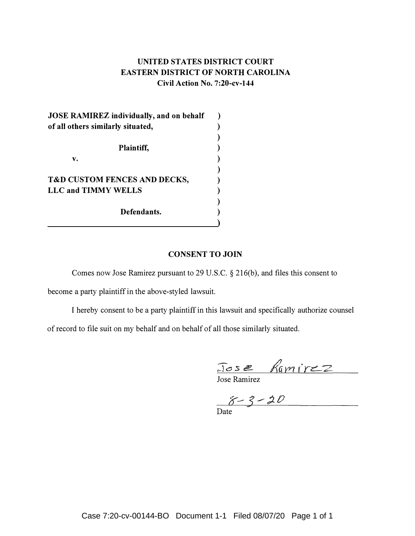## **UNITED STATES DISTRICT COURT EASTERN DISTRICT OF NORTH CAROLINA Civil Action No. 7:20-cv-144**

| <b>JOSE RAMIREZ</b> individually, and on behalf |  |
|-------------------------------------------------|--|
| of all others similarly situated,               |  |
|                                                 |  |
| Plaintiff,                                      |  |
| v.                                              |  |
|                                                 |  |
| <b>T&amp;D CUSTOM FENCES AND DECKS,</b>         |  |
| LLC and TIMMY WELLS                             |  |
|                                                 |  |
| Defendants.                                     |  |
|                                                 |  |

## **CONSENT TO JOIN**

Comes now Jose Ramirez pursuant to 29 U.S.C. § 216(b), and files this consent to

become a party plaintiff in the above-styled lawsuit.

I hereby consent to be a party plaintiff in this lawsuit and specifically authorize counsel of record to file suit on my behalf and on behalf of all those similarly situated.

Jose Ramirez

 $\frac{8-3-20}{\text{Date}}$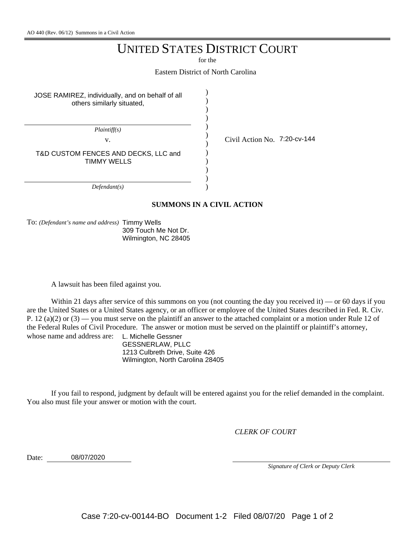# UNITED STATES DISTRICT COURT

for the

Eastern District of North Carolina

) ) ) ) ) ) ) ) ) ) ) )

JOSE RAMIREZ, individually, and on behalf of all others similarly situated,

*Plaintiff(s)*

T&D CUSTOM FENCES AND DECKS, LLC and TIMMY WELLS

*Defendant(s)*

v. Civil Action No. 7:20-cv-144

**SUMMONS IN A CIVIL ACTION**

To: *(Defendant's name and address)* Timmy Wells 309 Touch Me Not Dr. Wilmington, NC 28405

A lawsuit has been filed against you.

Within 21 days after service of this summons on you (not counting the day you received it) — or 60 days if you are the United States or a United States agency, or an officer or employee of the United States described in Fed. R. Civ. P. 12 (a)(2) or  $(3)$  — you must serve on the plaintiff an answer to the attached complaint or a motion under Rule 12 of the Federal Rules of Civil Procedure. The answer or motion must be served on the plaintiff or plaintiff's attorney, whose name and address are: L. Michelle Gessner

GESSNERLAW, PLLC 1213 Culbreth Drive, Suite 426 Wilmington, North Carolina 28405

If you fail to respond, judgment by default will be entered against you for the relief demanded in the complaint. You also must file your answer or motion with the court.

*CLERK OF COURT*

Date: 08/07/2020

*Signature of Clerk or Deputy Clerk*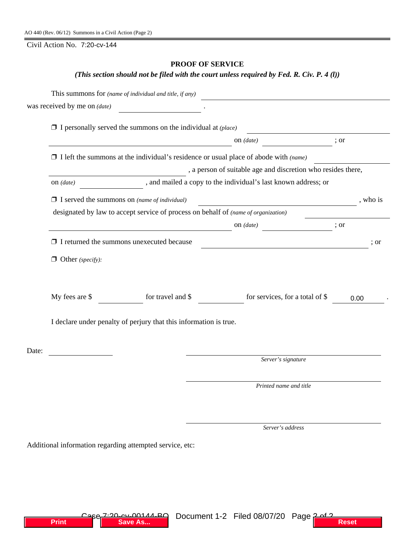Civil Action No. 7:20-cv-144

## **PROOF OF SERVICE**

*(This section should not be filed with the court unless required by Fed. R. Civ. P. 4 (l))*

|       | was received by me on (date)                                                                                                                  | This summons for (name of individual and title, if any)             |                                                                                             |          |  |  |
|-------|-----------------------------------------------------------------------------------------------------------------------------------------------|---------------------------------------------------------------------|---------------------------------------------------------------------------------------------|----------|--|--|
|       |                                                                                                                                               | $\Box$ I personally served the summons on the individual at (place) |                                                                                             |          |  |  |
|       |                                                                                                                                               |                                                                     | on $(data)$                                                                                 | ; or     |  |  |
|       |                                                                                                                                               |                                                                     | $\Box$ I left the summons at the individual's residence or usual place of abode with (name) |          |  |  |
|       | , a person of suitable age and discretion who resides there,<br>, and mailed a copy to the individual's last known address; or<br>$on$ (date) |                                                                     |                                                                                             |          |  |  |
|       |                                                                                                                                               |                                                                     |                                                                                             |          |  |  |
|       |                                                                                                                                               | $\Box$ I served the summons on (name of individual)                 |                                                                                             | , who is |  |  |
|       |                                                                                                                                               |                                                                     | designated by law to accept service of process on behalf of (name of organization)          |          |  |  |
|       |                                                                                                                                               |                                                                     | $on$ (date)                                                                                 | ; or     |  |  |
|       |                                                                                                                                               | $\Box$ I returned the summons unexecuted because                    | <u> 1989 - Johann Stoff, fransk politik (d. 1989)</u>                                       | ; or     |  |  |
|       | $\Box$ Other (specify):                                                                                                                       |                                                                     |                                                                                             |          |  |  |
|       | My fees are \$                                                                                                                                | for travel and \$                                                   | for services, for a total of \$                                                             | 0.00     |  |  |
|       |                                                                                                                                               | I declare under penalty of perjury that this information is true.   |                                                                                             |          |  |  |
| Date: |                                                                                                                                               |                                                                     |                                                                                             |          |  |  |
|       |                                                                                                                                               |                                                                     | Server's signature                                                                          |          |  |  |
|       |                                                                                                                                               |                                                                     | Printed name and title                                                                      |          |  |  |
|       |                                                                                                                                               |                                                                     | Server's address                                                                            |          |  |  |

Additional information regarding attempted service, etc:

Case 7:20-cv-00144-BO Document 1-2 Filed 08/07/20 Page 2 of 2 **Print Save As... Reset**

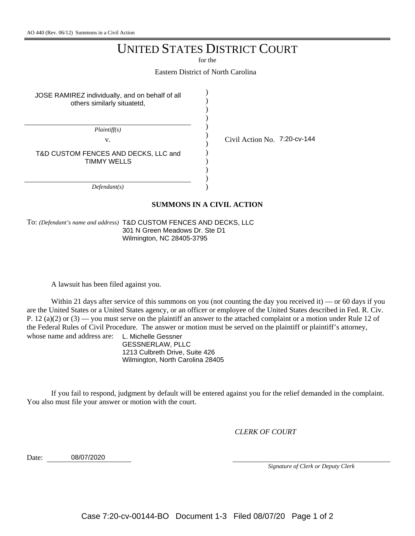# UNITED STATES DISTRICT COURT

for the

Eastern District of North Carolina

) ) ) ) ) ) ) ) ) ) ) )

JOSE RAMIREZ individually, and on behalf of all others similarly situatetd,

*Plaintiff(s)*

T&D CUSTOM FENCES AND DECKS, LLC and TIMMY WELLS

*Defendant(s)*

v. Civil Action No. 7:20-cv-144

**SUMMONS IN A CIVIL ACTION**

To: *(Defendant's name and address)* T&D CUSTOM FENCES AND DECKS, LLC 301 N Green Meadows Dr. Ste D1 Wilmington, NC 28405-3795

A lawsuit has been filed against you.

Within 21 days after service of this summons on you (not counting the day you received it) — or 60 days if you are the United States or a United States agency, or an officer or employee of the United States described in Fed. R. Civ. P. 12 (a)(2) or  $(3)$  — you must serve on the plaintiff an answer to the attached complaint or a motion under Rule 12 of the Federal Rules of Civil Procedure. The answer or motion must be served on the plaintiff or plaintiff's attorney, whose name and address are: L. Michelle Gessner

GESSNERLAW, PLLC 1213 Culbreth Drive, Suite 426 Wilmington, North Carolina 28405

If you fail to respond, judgment by default will be entered against you for the relief demanded in the complaint. You also must file your answer or motion with the court.

*CLERK OF COURT*

Date: 08/07/2020

*Signature of Clerk or Deputy Clerk*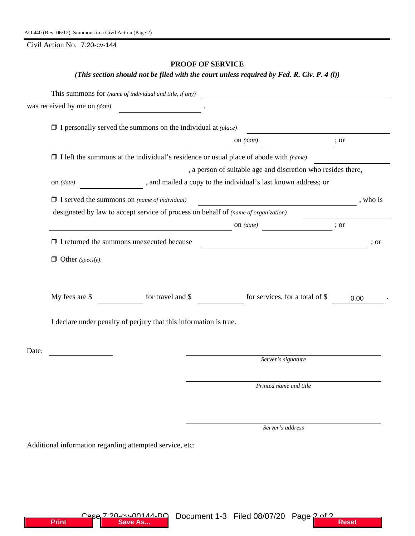Civil Action No. 7:20-cv-144

## **PROOF OF SERVICE**

*(This section should not be filed with the court unless required by Fed. R. Civ. P. 4 (l))*

|       | was received by me on (date)                                                                                                                  | This summons for (name of individual and title, if any)             |                                                                                    |          |  |  |
|-------|-----------------------------------------------------------------------------------------------------------------------------------------------|---------------------------------------------------------------------|------------------------------------------------------------------------------------|----------|--|--|
|       |                                                                                                                                               | $\Box$ I personally served the summons on the individual at (place) |                                                                                    |          |  |  |
|       |                                                                                                                                               |                                                                     | on $(data)$                                                                        | ; or     |  |  |
|       | $\Box$ I left the summons at the individual's residence or usual place of abode with (name)                                                   |                                                                     |                                                                                    |          |  |  |
|       | , a person of suitable age and discretion who resides there,<br>, and mailed a copy to the individual's last known address; or<br>$on$ (date) |                                                                     |                                                                                    |          |  |  |
|       |                                                                                                                                               |                                                                     |                                                                                    |          |  |  |
|       |                                                                                                                                               | $\Box$ I served the summons on (name of individual)                 | <u> 1980 - Johann Barn, mars an t-Amerikaansk politiker (</u>                      | , who is |  |  |
|       |                                                                                                                                               |                                                                     | designated by law to accept service of process on behalf of (name of organization) |          |  |  |
|       |                                                                                                                                               |                                                                     | $\overline{\phantom{a}}$ ; or<br>$on$ (date)                                       |          |  |  |
|       |                                                                                                                                               | $\Box$ I returned the summons unexecuted because                    |                                                                                    | $:$ or   |  |  |
|       | $\Box$ Other (specify):                                                                                                                       |                                                                     |                                                                                    |          |  |  |
|       | My fees are \$                                                                                                                                | for travel and \$                                                   | for services, for a total of \$                                                    | 0.00     |  |  |
|       |                                                                                                                                               | I declare under penalty of perjury that this information is true.   |                                                                                    |          |  |  |
| Date: |                                                                                                                                               |                                                                     |                                                                                    |          |  |  |
|       |                                                                                                                                               |                                                                     | Server's signature                                                                 |          |  |  |
|       |                                                                                                                                               |                                                                     | Printed name and title                                                             |          |  |  |
|       |                                                                                                                                               |                                                                     | Server's address                                                                   |          |  |  |

Additional information regarding attempted service, etc:

Case 7:20-cv-00144-BO Document 1-3 Filed 08/07/20 Page 2 of 2 **Print Save As... Reset**

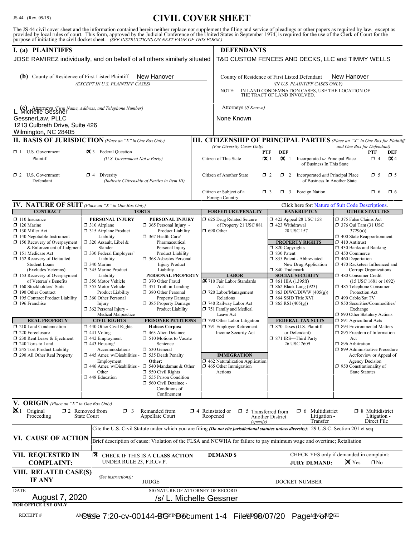## JS 44 (Rev. 09/19) **CIVIL COVER SHEET**

The JS 44 civil cover sheet and the information contained herein neither replace nor supplement the filing and service of pleadings or other papers as required by law, except as provided by local rules of court. This form,

| I. (a) PLAINTIFFS                                                         |                                                         |                                                        | <b>DEFENDANTS</b>                                |                                                                                                                                             |                                                                                |                                           |                                                                  |                             |                |
|---------------------------------------------------------------------------|---------------------------------------------------------|--------------------------------------------------------|--------------------------------------------------|---------------------------------------------------------------------------------------------------------------------------------------------|--------------------------------------------------------------------------------|-------------------------------------------|------------------------------------------------------------------|-----------------------------|----------------|
| JOSE RAMIREZ individually, and on behalf of all others similarly situated |                                                         |                                                        | T&D CUSTOM FENCES AND DECKS, LLC and TIMMY WELLS |                                                                                                                                             |                                                                                |                                           |                                                                  |                             |                |
|                                                                           |                                                         |                                                        |                                                  |                                                                                                                                             |                                                                                |                                           |                                                                  |                             |                |
| (b) County of Residence of First Listed Plaintiff                         |                                                         | New Hanover                                            |                                                  |                                                                                                                                             | County of Residence of First Listed Defendant                                  |                                           | New Hanover                                                      |                             |                |
|                                                                           | (EXCEPT IN U.S. PLAINTIFF CASES)                        |                                                        |                                                  |                                                                                                                                             | (IN U.S. PLAINTIFF CASES ONLY)                                                 |                                           |                                                                  |                             |                |
|                                                                           |                                                         |                                                        |                                                  | NOTE:                                                                                                                                       | IN LAND CONDEMNATION CASES, USE THE LOCATION OF<br>THE TRACT OF LAND INVOLVED. |                                           |                                                                  |                             |                |
|                                                                           |                                                         |                                                        |                                                  | Attorneys (If Known)                                                                                                                        |                                                                                |                                           |                                                                  |                             |                |
| L. Michelle Gessner<br>L. Michelle Gessner                                |                                                         |                                                        |                                                  |                                                                                                                                             |                                                                                |                                           |                                                                  |                             |                |
| GessnerLaw, PLLC<br>1213 Culbreth Drive, Suite 426                        |                                                         |                                                        |                                                  | None Known                                                                                                                                  |                                                                                |                                           |                                                                  |                             |                |
| Wilmington, NC 28405                                                      |                                                         |                                                        |                                                  |                                                                                                                                             |                                                                                |                                           |                                                                  |                             |                |
| <b>II. BASIS OF JURISDICTION</b> (Place an "X" in One Box Only)           |                                                         |                                                        |                                                  | III. CITIZENSHIP OF PRINCIPAL PARTIES (Place an "X" in One Box for Plaintiff                                                                |                                                                                |                                           |                                                                  |                             |                |
| $\Box$ 1 U.S. Government                                                  | <b>X</b> 3 Federal Question                             |                                                        |                                                  | (For Diversity Cases Only)                                                                                                                  | <b>DEF</b><br><b>PTF</b>                                                       |                                           | and One Box for Defendant)<br>PTF                                |                             | DEF            |
| Plaintiff                                                                 | (U.S. Government Not a Party)                           |                                                        |                                                  | Citizen of This State                                                                                                                       | $\mathbf{X}$ 1<br>$\mathbf{X}$ 1                                               |                                           | Incorporated or Principal Place                                  | $\Box$ 4                    | $\mathbf{X}$ 4 |
|                                                                           |                                                         |                                                        |                                                  |                                                                                                                                             |                                                                                | of Business In This State                 |                                                                  |                             |                |
| $\Box$ 2 U.S. Government<br>Defendant                                     | $\Box$ 4 Diversity                                      | (Indicate Citizenship of Parties in Item III)          |                                                  | Citizen of Another State                                                                                                                    | $\Box$ 2<br>$\Box$ 2                                                           |                                           | Incorporated and Principal Place<br>of Business In Another State | $\Box$ 5                    | $\square$ 5    |
|                                                                           |                                                         |                                                        |                                                  |                                                                                                                                             |                                                                                |                                           |                                                                  |                             |                |
|                                                                           |                                                         |                                                        |                                                  | Citizen or Subject of a<br>Foreign Country                                                                                                  | <b>1</b> 3 Foreign Nation<br>$\Box$ 3                                          |                                           |                                                                  | $\Box$ 6                    | $\Box$ 6       |
| <b>IV. NATURE OF SUIT</b> (Place an "X" in One Box Only)                  |                                                         |                                                        |                                                  |                                                                                                                                             |                                                                                |                                           | Click here for: Nature of Suit Code Descriptions.                |                             |                |
| <b>CONTRACT</b>                                                           |                                                         | <b>TORTS</b>                                           |                                                  | <b>FORFEITURE/PENALTY</b>                                                                                                                   | <b>BANKRUPTCY</b>                                                              |                                           | <b>OTHER STATUTES</b>                                            |                             |                |
| $\Box$ 110 Insurance<br>$\Box$ 120 Marine                                 | PERSONAL INJURY<br>$\Box$ 310 Airplane                  | PERSONAL INJURY<br>$\Box$ 365 Personal Injury -        |                                                  | 5 625 Drug Related Seizure<br>of Property 21 USC 881                                                                                        | $\Box$ 422 Appeal 28 USC 158<br>□ 423 Withdrawal                               |                                           | 375 False Claims Act<br>$\Box$ 376 Qui Tam (31 USC               |                             |                |
| $\Box$ 130 Miller Act                                                     | □ 315 Airplane Product<br>Product Liability             |                                                        |                                                  | $\Box$ 690 Other                                                                                                                            | 28 USC 157                                                                     |                                           | 3729(a)                                                          |                             |                |
| $\Box$ 140 Negotiable Instrument<br>$\Box$ 150 Recovery of Overpayment    | Liability<br>$\Box$ 320 Assault, Libel &                | $\Box$ 367 Health Care/<br>Pharmaceutical              |                                                  |                                                                                                                                             | <b>PROPERTY RIGHTS</b>                                                         |                                           | $\Box$ 400 State Reapportionment<br>$\Box$ 410 Antitrust         |                             |                |
| & Enforcement of Judgment<br>$\Box$ 151 Medicare Act                      | Slander                                                 | Personal Injury<br>Product Liability                   |                                                  |                                                                                                                                             | $\Box$ 820 Copyrights<br>□ 830 Patent                                          |                                           | $\Box$ 430 Banks and Banking<br>□ 450 Commerce                   |                             |                |
| 152 Recovery of Defaulted                                                 | □ 330 Federal Employers'<br>Liability                   | □ 368 Asbestos Personal                                |                                                  |                                                                                                                                             | 335 Patent - Abbreviated                                                       |                                           | $\Box$ 460 Deportation                                           |                             |                |
| <b>Student Loans</b><br>(Excludes Veterans)                               | $\Box$ 340 Marine<br>345 Marine Product                 | <b>Injury Product</b><br>Liability                     |                                                  |                                                                                                                                             | New Drug Application<br>□ 840 Trademark                                        |                                           | 1 470 Racketeer Influenced and<br>Corrupt Organizations          |                             |                |
| $\Box$ 153 Recovery of Overpayment                                        | Liability                                               | PERSONAL PROPERTY                                      |                                                  | <b>LABOR</b>                                                                                                                                | <b>SOCIAL SECURITY</b>                                                         |                                           | □ 480 Consumer Credit                                            |                             |                |
| of Veteran's Benefits<br>$\Box$ 160 Stockholders' Suits                   | 350 Motor Vehicle<br>□ 355 Motor Vehicle                | 370 Other Fraud<br>$\Box$ 371 Truth in Lending         |                                                  | 区 710 Fair Labor Standards<br>Act                                                                                                           | $\Box$ 861 HIA (1395ff)<br>$\Box$ 862 Black Lung (923)                         |                                           | (15 USC 1681 or 1692)<br>1 485 Telephone Consumer                |                             |                |
| 190 Other Contract<br>195 Contract Product Liability                      | <b>Product Liability</b><br>360 Other Personal          | 380 Other Personal<br><b>Property Damage</b>           |                                                  | 720 Labor/Management<br>Relations                                                                                                           | $\Box$ 863 DIWC/DIWW (405(g))<br>□ 864 SSID Title XVI                          |                                           | Protection Act<br>□ 490 Cable/Sat TV                             |                             |                |
| $\Box$ 196 Franchise                                                      | Injury                                                  | 385 Property Damage                                    |                                                  | 740 Railway Labor Act                                                                                                                       | $\Box$ 865 RSI (405(g))                                                        |                                           | $\Box$ 850 Securities/Commodities/                               |                             |                |
|                                                                           | 362 Personal Injury -<br>Medical Malpractice            | Product Liability                                      |                                                  | 751 Family and Medical<br>Leave Act                                                                                                         |                                                                                |                                           | Exchange<br>1 890 Other Statutory Actions                        |                             |                |
| <b>REAL PROPERTY</b>                                                      | <b>CIVIL RIGHTS</b>                                     | <b>PRISONER PETITIONS</b>                              |                                                  | 790 Other Labor Litigation                                                                                                                  | <b>FEDERAL TAX SUITS</b>                                                       |                                           | □ 891 Agricultural Acts                                          |                             |                |
| 210 Land Condemnation<br>$\Box$ 220 Foreclosure                           | $\Box$ 440 Other Civil Rights<br>$\Box$ 441 Voting      | <b>Habeas Corpus:</b><br>463 Alien Detainee            |                                                  | 791 Employee Retirement<br>Income Security Act                                                                                              | □ 870 Taxes (U.S. Plaintiff<br>or Defendant)                                   |                                           | 1 893 Environmental Matters<br>□ 895 Freedom of Information      |                             |                |
| 230 Rent Lease & Ejectment<br>$\Box$ 240 Torts to Land                    | $\Box$ 442 Employment<br>$\Box$ 443 Housing/            | $\Box$ 510 Motions to Vacate<br>Sentence               |                                                  |                                                                                                                                             | □ 871 IRS-Third Party<br>26 USC 7609                                           |                                           | Act<br>□ 896 Arbitration                                         |                             |                |
| 245 Tort Product Liability                                                | Accommodations                                          | $\Box$ 530 General                                     |                                                  |                                                                                                                                             |                                                                                |                                           | □ 899 Administrative Procedure                                   |                             |                |
| 290 All Other Real Property                                               | $\Box$ 445 Amer. w/Disabilities -<br>Employment         | 535 Death Penalty<br>Other:                            |                                                  | <b>IMMIGRATION</b><br>□ 462 Naturalization Application                                                                                      |                                                                                |                                           | Act/Review or Appeal of<br><b>Agency Decision</b>                |                             |                |
|                                                                           | $\Box$ 446 Amer. w/Disabilities<br>Other                | $\Box$ 540 Mandamus & Other<br>$\Box$ 550 Civil Rights |                                                  | $\Box$ 465 Other Immigration<br>Actions                                                                                                     |                                                                                |                                           | $\Box$ 950 Constitutionality of<br><b>State Statutes</b>         |                             |                |
|                                                                           | 448 Education                                           | 555 Prison Condition                                   |                                                  |                                                                                                                                             |                                                                                |                                           |                                                                  |                             |                |
|                                                                           |                                                         | 560 Civil Detainee -<br>Conditions of                  |                                                  |                                                                                                                                             |                                                                                |                                           |                                                                  |                             |                |
|                                                                           |                                                         | Confinement                                            |                                                  |                                                                                                                                             |                                                                                |                                           |                                                                  |                             |                |
| V. ORIGIN (Place an "X" in One Box Only)                                  |                                                         |                                                        |                                                  |                                                                                                                                             |                                                                                |                                           |                                                                  |                             |                |
| $\mathbf{X}$ 1 Original<br>Proceeding                                     | $\square$ 2 Removed from<br>$\Box$ 3<br>State Court     | Remanded from<br>Appellate Court                       |                                                  | $\Box$ 4 Reinstated or<br>$\Box$ 5 Transferred from<br>Reopened<br>(specify)                                                                | □ 6<br>Another District                                                        | Multidistrict<br>Litigation -<br>Transfer | $\Box$ 8 Multidistrict                                           | Litigation -<br>Direct File |                |
|                                                                           |                                                         |                                                        |                                                  | Cite the U.S. Civil Statute under which you are filing (Do not cite jurisdictional statutes unless diversity): 29 U.S.C. Section 201 et seq |                                                                                |                                           |                                                                  |                             |                |
| VI. CAUSE OF ACTION                                                       |                                                         |                                                        |                                                  | Brief description of cause: Violation of the FLSA and NCWHA for failure to pay minimum wage and overtime; Retaliation                       |                                                                                |                                           |                                                                  |                             |                |
| VII. REQUESTED IN<br><b>COMPLAINT:</b>                                    | ⊠<br>UNDER RULE 23, F.R.Cv.P.                           | CHECK IF THIS IS A CLASS ACTION                        |                                                  | <b>DEMAND \$</b>                                                                                                                            | <b>JURY DEMAND:</b>                                                            |                                           | CHECK YES only if demanded in complaint:<br>X Yes                | $\Box$ No                   |                |
| VIII. RELATED CASE(S)                                                     |                                                         |                                                        |                                                  |                                                                                                                                             |                                                                                |                                           |                                                                  |                             |                |
| <b>IF ANY</b>                                                             | (See instructions):                                     | <b>JUDGE</b>                                           |                                                  |                                                                                                                                             | DOCKET NUMBER                                                                  |                                           |                                                                  |                             |                |
| <b>DATE</b>                                                               |                                                         | SIGNATURE OF ATTORNEY OF RECORD                        |                                                  |                                                                                                                                             |                                                                                |                                           |                                                                  |                             |                |
| August 7, 2020<br><b>FOR OFFICE USE ONLY</b>                              |                                                         | /s/ L. Michelle Gessner                                |                                                  |                                                                                                                                             |                                                                                |                                           |                                                                  |                             |                |
| <b>RECEIPT#</b>                                                           | AMC&Se 7:20-cv-00144-BOYIND6/cument 1-4 File 4098/07/20 |                                                        |                                                  |                                                                                                                                             | PageMAG <sub>fU</sub> <sub>2GE</sub>                                           |                                           |                                                                  |                             |                |